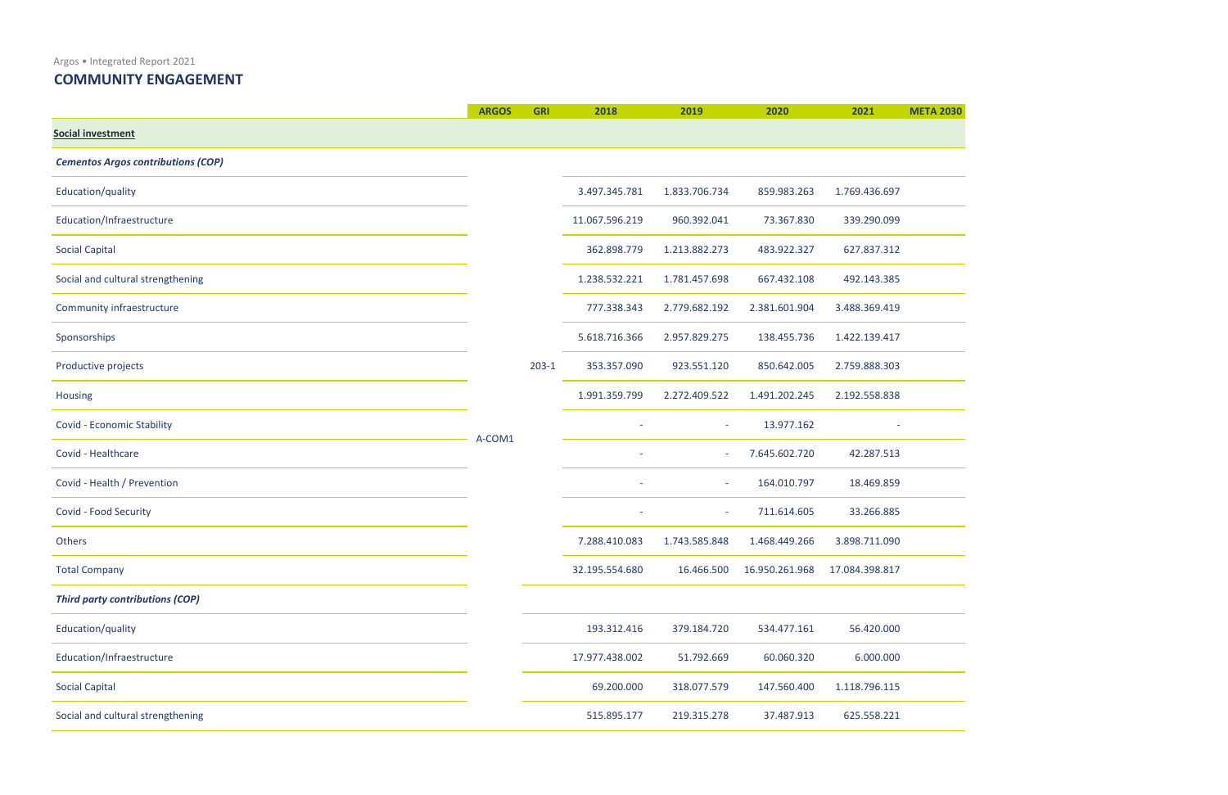Argos • Integrated Report 2021

**ARGOS GRI 2018 2019 2020 2021 META 2030** <u> 1989 - Johann Barnett, fransk politiker (</u> 

## **COMMUNITY ENGAGEMENT**

|                                           | <b>ARGOS</b> | <b>GRI</b> | 2018           | 2019                     | 2020           | 2021           |
|-------------------------------------------|--------------|------------|----------------|--------------------------|----------------|----------------|
| Social investment                         |              |            |                |                          |                |                |
| <b>Cementos Argos contributions (COP)</b> |              |            |                |                          |                |                |
| Education/quality                         |              |            | 3.497.345.781  | 1.833.706.734            | 859.983.263    | 1.769.436.697  |
| Education/Infraestructure                 |              |            | 11.067.596.219 | 960.392.041              | 73.367.830     | 339.290.099    |
| <b>Social Capital</b>                     |              |            | 362.898.779    | 1.213.882.273            | 483.922.327    | 627.837.312    |
| Social and cultural strengthening         |              |            | 1.238.532.221  | 1.781.457.698            | 667.432.108    | 492.143.385    |
| Community infraestructure                 |              |            | 777.338.343    | 2.779.682.192            | 2.381.601.904  | 3.488.369.419  |
| Sponsorships                              |              |            | 5.618.716.366  | 2.957.829.275            | 138.455.736    | 1.422.139.417  |
| Productive projects                       |              | $203-1$    | 353.357.090    | 923.551.120              | 850.642.005    | 2.759.888.303  |
| Housing                                   |              |            | 1.991.359.799  | 2.272.409.522            | 1.491.202.245  | 2.192.558.838  |
| Covid - Economic Stability                | A-COM1       |            |                | $\sim$                   | 13.977.162     |                |
| Covid - Healthcare                        |              |            |                |                          | 7.645.602.720  | 42.287.513     |
| Covid - Health / Prevention               |              |            |                | $\overline{\phantom{a}}$ | 164.010.797    | 18.469.859     |
| Covid - Food Security                     |              |            |                | $\sim$                   | 711.614.605    | 33.266.885     |
| Others                                    |              |            | 7.288.410.083  | 1.743.585.848            | 1.468.449.266  | 3.898.711.090  |
| <b>Total Company</b>                      |              |            | 32.195.554.680 | 16.466.500               | 16.950.261.968 | 17.084.398.817 |
| <b>Third party contributions (COP)</b>    |              |            |                |                          |                |                |
| Education/quality                         |              |            | 193.312.416    | 379.184.720              | 534.477.161    | 56.420.000     |
| Education/Infraestructure                 |              |            | 17.977.438.002 | 51.792.669               | 60.060.320     | 6.000.000      |
| <b>Social Capital</b>                     |              |            | 69.200.000     | 318.077.579              | 147.560.400    | 1.118.796.115  |
| Social and cultural strengthening         |              |            | 515.895.177    | 219.315.278              | 37.487.913     | 625.558.221    |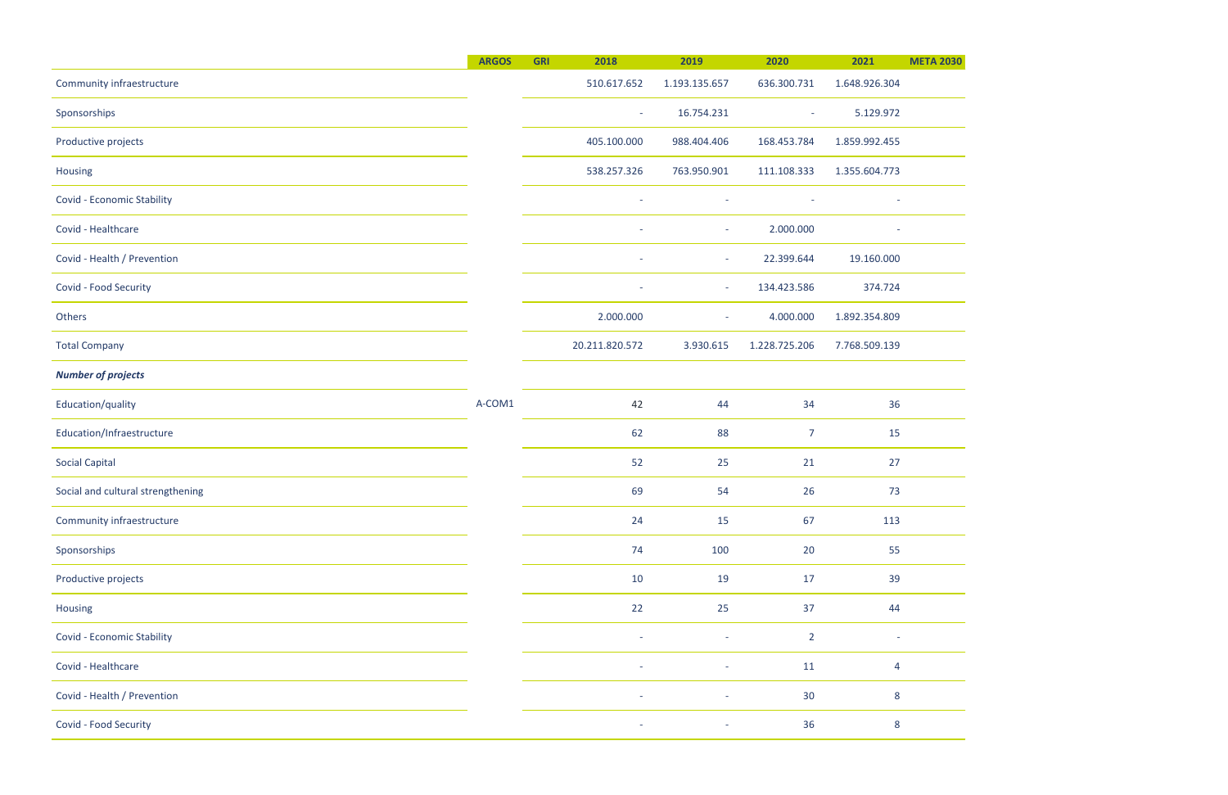$\overline{\phantom{0}}$ 

|                                   | <b>ARGOS</b> | <b>GRI</b><br>2018 | 2019                                                 | 2020                     | 2021          |
|-----------------------------------|--------------|--------------------|------------------------------------------------------|--------------------------|---------------|
| Community infraestructure         |              | 510.617.652        | 1.193.135.657                                        | 636.300.731              | 1.648.926.304 |
| Sponsorships                      |              |                    | 16.754.231<br>$\sim$                                 | $\overline{\phantom{a}}$ | 5.129.972     |
| Productive projects               |              | 405.100.000        | 988.404.406                                          | 168.453.784              | 1.859.992.455 |
| Housing                           |              | 538.257.326        | 763.950.901                                          | 111.108.333              | 1.355.604.773 |
| Covid - Economic Stability        |              |                    | $\overline{\phantom{a}}$<br>$\overline{\phantom{a}}$ | $\overline{\phantom{a}}$ |               |
| Covid - Healthcare                |              |                    | $\sim$                                               | 2.000.000                |               |
| Covid - Health / Prevention       |              |                    | $\overline{\phantom{a}}$<br>$\sim$                   | 22.399.644               | 19.160.000    |
| Covid - Food Security             |              |                    | $\overline{\phantom{a}}$<br>$\sim$                   | 134.423.586              | 374.724       |
| Others                            |              | 2.000.000          | $\sim$                                               | 4.000.000                | 1.892.354.809 |
| <b>Total Company</b>              |              | 20.211.820.572     | 3.930.615                                            | 1.228.725.206            | 7.768.509.139 |
| <b>Number of projects</b>         |              |                    |                                                      |                          |               |
| Education/quality                 | A-COM1       | 42                 | 44                                                   | 34                       | 36            |
| Education/Infraestructure         |              | 62                 | 88                                                   | 7                        | 15            |
| <b>Social Capital</b>             |              | 52                 | 25                                                   | 21                       | 27            |
| Social and cultural strengthening |              | 69                 | 54                                                   | 26                       | 73            |
| Community infraestructure         |              | 24                 | 15                                                   | 67                       | 113           |
| Sponsorships                      |              | 74                 | 100                                                  | 20                       | 55            |
| Productive projects               |              | 10                 | 19                                                   | 17                       | 39            |
| Housing                           |              | 22                 | 25                                                   | 37                       | 44            |
| Covid - Economic Stability        |              |                    | $\overline{\phantom{a}}$<br>$\overline{\phantom{a}}$ | $\overline{2}$           |               |
| Covid - Healthcare                |              |                    |                                                      | 11                       | 4             |
| Covid - Health / Prevention       |              |                    |                                                      | 30                       | 8             |
| Covid - Food Security             |              |                    | $\sim$<br>$\overline{\phantom{a}}$                   | 36                       | 8             |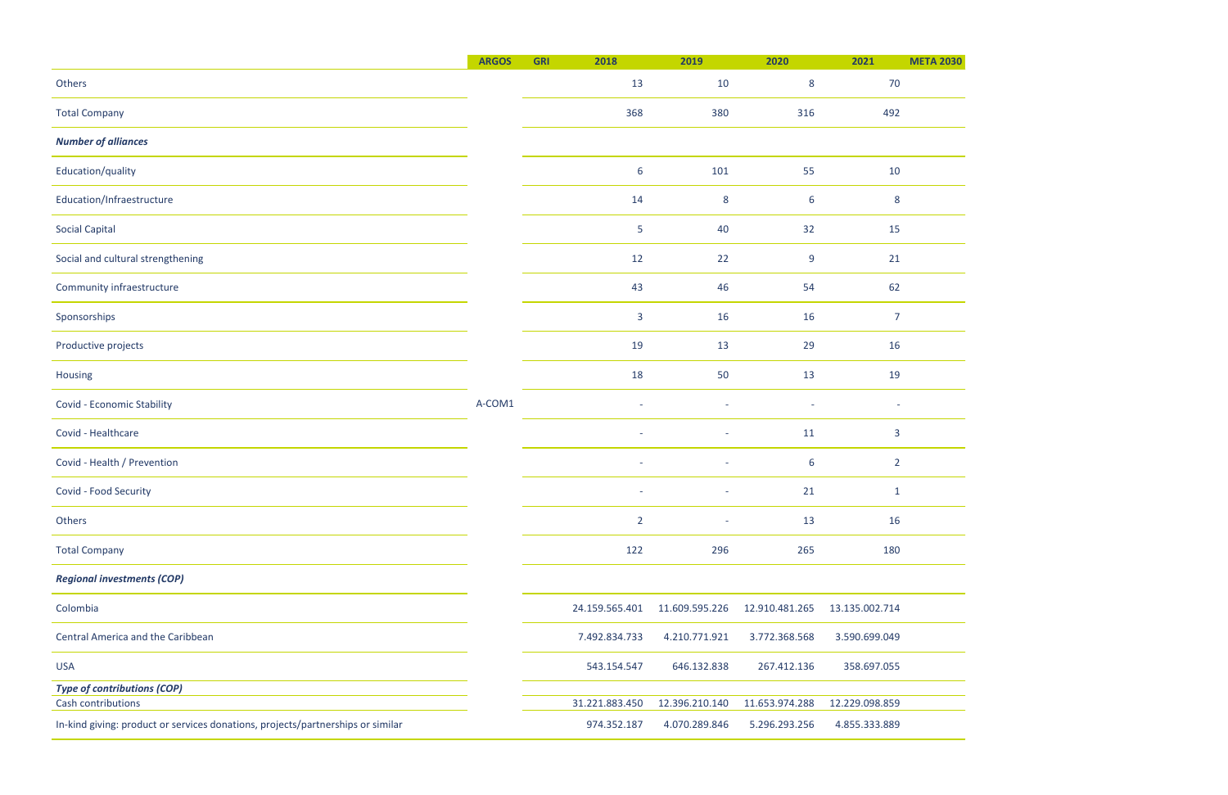<u> 1989 - Johann Barnett, fransk politik (</u>

|                                                                                 | <b>ARGOS</b> | <b>GRI</b> | 2018                     | 2019                     | 2020                     | 2021           |
|---------------------------------------------------------------------------------|--------------|------------|--------------------------|--------------------------|--------------------------|----------------|
| Others                                                                          |              |            | 13                       | 10                       | 8                        | 70             |
| <b>Total Company</b>                                                            |              |            | 368                      | 380                      | 316                      | 492            |
| <b>Number of alliances</b>                                                      |              |            |                          |                          |                          |                |
| Education/quality                                                               |              |            | 6                        | 101                      | 55                       | 10             |
| Education/Infraestructure                                                       |              |            | 14                       | 8                        | 6                        | 8              |
| <b>Social Capital</b>                                                           |              |            | 5                        | 40                       | 32                       | 15             |
| Social and cultural strengthening                                               |              |            | 12                       | 22                       | 9                        | 21             |
| Community infraestructure                                                       |              |            | 43                       | 46                       | 54                       | 62             |
| Sponsorships                                                                    |              |            | 3                        | 16                       | 16                       | 7              |
| Productive projects                                                             |              |            | 19                       | 13                       | 29                       | 16             |
| Housing                                                                         |              |            | 18                       | 50                       | 13                       | 19             |
| Covid - Economic Stability                                                      | A-COM1       |            | $\overline{\phantom{a}}$ | $\overline{\phantom{a}}$ | $\overline{\phantom{a}}$ | ÷,             |
| Covid - Healthcare                                                              |              |            | $\overline{\phantom{a}}$ | $\overline{\phantom{a}}$ | 11                       | 3              |
| Covid - Health / Prevention                                                     |              |            |                          |                          | 6                        | $\overline{2}$ |
| Covid - Food Security                                                           |              |            |                          |                          | 21                       | 1              |
| Others                                                                          |              |            | $\overline{2}$           | $\sim$                   | 13                       | 16             |
| <b>Total Company</b>                                                            |              |            | 122                      | 296                      | 265                      | 180            |
| <b>Regional investments (COP)</b>                                               |              |            |                          |                          |                          |                |
| Colombia                                                                        |              |            | 24.159.565.401           | 11.609.595.226           | 12.910.481.265           | 13.135.002.714 |
| Central America and the Caribbean                                               |              |            | 7.492.834.733            | 4.210.771.921            | 3.772.368.568            | 3.590.699.049  |
| <b>USA</b>                                                                      |              |            | 543.154.547              | 646.132.838              | 267.412.136              | 358.697.055    |
| <b>Type of contributions (COP)</b>                                              |              |            |                          |                          |                          |                |
| Cash contributions                                                              |              |            | 31.221.883.450           | 12.396.210.140           | 11.653.974.288           | 12.229.098.859 |
| In-kind giving: product or services donations, projects/partnerships or similar |              |            | 974.352.187              | 4.070.289.846            | 5.296.293.256            | 4.855.333.889  |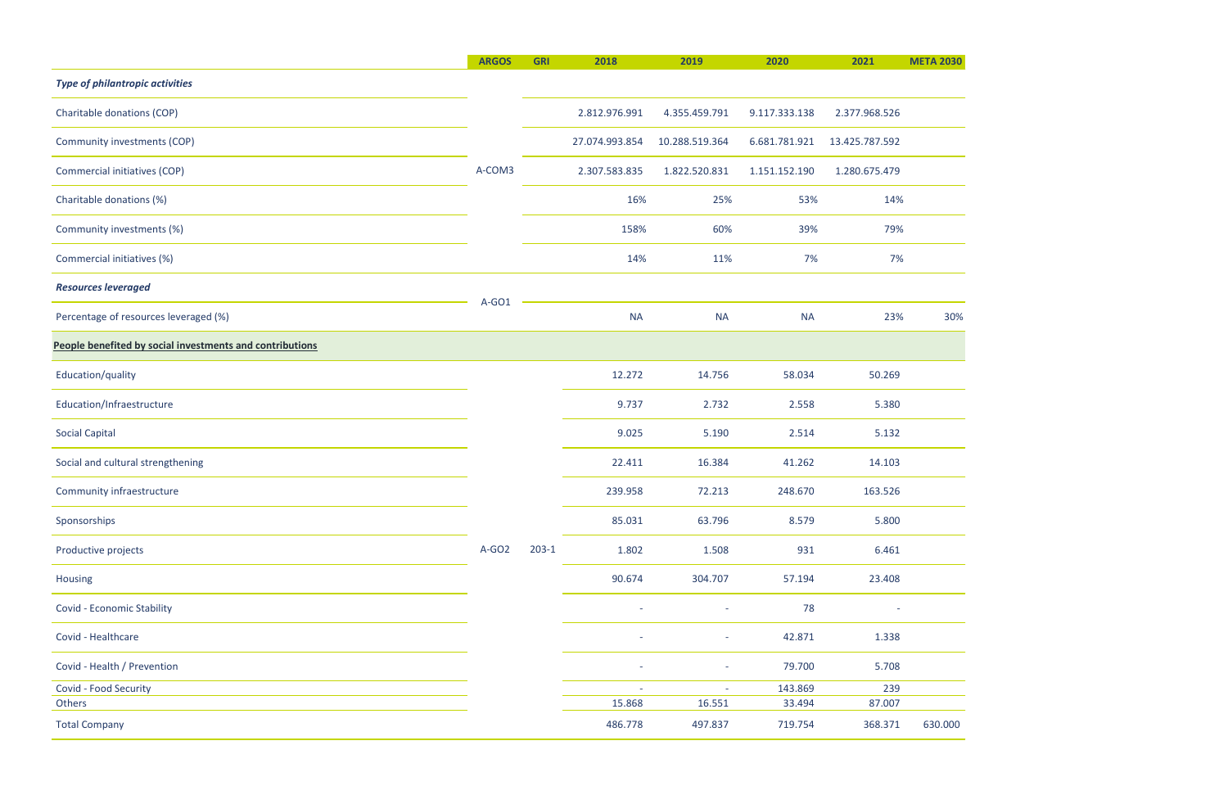|                                                          | <b>ARGOS</b> | <b>GRI</b> | 2018           | 2019           | 2020          | 2021           | <b>META 2030</b> |        |         |         |  |  |  |  |  |  |  |  |  |  |  |  |  |        |        |        |        |  |       |       |       |       |  |
|----------------------------------------------------------|--------------|------------|----------------|----------------|---------------|----------------|------------------|--------|---------|---------|--|--|--|--|--|--|--|--|--|--|--|--|--|--------|--------|--------|--------|--|-------|-------|-------|-------|--|
| <b>Type of philantropic activities</b>                   |              |            |                |                |               |                |                  |        |         |         |  |  |  |  |  |  |  |  |  |  |  |  |  |        |        |        |        |  |       |       |       |       |  |
| Charitable donations (COP)                               |              |            | 2.812.976.991  | 4.355.459.791  | 9.117.333.138 | 2.377.968.526  |                  |        |         |         |  |  |  |  |  |  |  |  |  |  |  |  |  |        |        |        |        |  |       |       |       |       |  |
| Community investments (COP)                              |              |            | 27.074.993.854 | 10.288.519.364 | 6.681.781.921 | 13.425.787.592 |                  |        |         |         |  |  |  |  |  |  |  |  |  |  |  |  |  |        |        |        |        |  |       |       |       |       |  |
| Commercial initiatives (COP)                             | A-COM3       |            | 2.307.583.835  | 1.822.520.831  | 1.151.152.190 | 1.280.675.479  |                  |        |         |         |  |  |  |  |  |  |  |  |  |  |  |  |  |        |        |        |        |  |       |       |       |       |  |
| Charitable donations (%)                                 |              |            | 16%            | 25%            | 53%           | 14%            |                  |        |         |         |  |  |  |  |  |  |  |  |  |  |  |  |  |        |        |        |        |  |       |       |       |       |  |
| Community investments (%)                                |              |            | 158%           | 60%            | 39%           | 79%            |                  |        |         |         |  |  |  |  |  |  |  |  |  |  |  |  |  |        |        |        |        |  |       |       |       |       |  |
| Commercial initiatives (%)                               |              |            | 14%            | 11%            | 7%            | 7%             |                  |        |         |         |  |  |  |  |  |  |  |  |  |  |  |  |  |        |        |        |        |  |       |       |       |       |  |
| <b>Resources leveraged</b>                               |              |            |                |                |               |                |                  |        |         |         |  |  |  |  |  |  |  |  |  |  |  |  |  |        |        |        |        |  |       |       |       |       |  |
| Percentage of resources leveraged (%)                    | A-GO1        |            | <b>NA</b>      | <b>NA</b>      | <b>NA</b>     | 23%            | 30%              |        |         |         |  |  |  |  |  |  |  |  |  |  |  |  |  |        |        |        |        |  |       |       |       |       |  |
| People benefited by social investments and contributions |              |            |                |                |               |                |                  |        |         |         |  |  |  |  |  |  |  |  |  |  |  |  |  |        |        |        |        |  |       |       |       |       |  |
| Education/quality                                        |              |            | 12.272         | 14.756         | 58.034        | 50.269         |                  |        |         |         |  |  |  |  |  |  |  |  |  |  |  |  |  |        |        |        |        |  |       |       |       |       |  |
| Education/Infraestructure                                |              |            |                | 9.737          | 2.732         | 2.558          | 5.380            |        |         |         |  |  |  |  |  |  |  |  |  |  |  |  |  |        |        |        |        |  |       |       |       |       |  |
| <b>Social Capital</b>                                    |              |            |                |                |               |                |                  |        |         |         |  |  |  |  |  |  |  |  |  |  |  |  |  |        |        |        |        |  | 9.025 | 5.190 | 2.514 | 5.132 |  |
| Social and cultural strengthening                        |              |            |                |                |               |                |                  |        |         |         |  |  |  |  |  |  |  |  |  |  |  |  |  | 22.411 | 16.384 | 41.262 | 14.103 |  |       |       |       |       |  |
| Community infraestructure                                |              |            |                |                |               |                | 239.958          | 72.213 | 248.670 | 163.526 |  |  |  |  |  |  |  |  |  |  |  |  |  |        |        |        |        |  |       |       |       |       |  |
| Sponsorships                                             |              |            | 85.031         | 63.796         | 8.579         | 5.800          |                  |        |         |         |  |  |  |  |  |  |  |  |  |  |  |  |  |        |        |        |        |  |       |       |       |       |  |
| Productive projects                                      | $A-GO2$      | $203-1$    | 1.802          | 1.508          | 931           | 6.461          |                  |        |         |         |  |  |  |  |  |  |  |  |  |  |  |  |  |        |        |        |        |  |       |       |       |       |  |
| Housing                                                  |              |            | 90.674         | 304.707        | 57.194        | 23.408         |                  |        |         |         |  |  |  |  |  |  |  |  |  |  |  |  |  |        |        |        |        |  |       |       |       |       |  |
| Covid - Economic Stability                               |              |            |                | $\sim$         | 78            |                |                  |        |         |         |  |  |  |  |  |  |  |  |  |  |  |  |  |        |        |        |        |  |       |       |       |       |  |
| Covid - Healthcare                                       |              |            | $\sim$         | $\sim$         | 42.871        | 1.338          |                  |        |         |         |  |  |  |  |  |  |  |  |  |  |  |  |  |        |        |        |        |  |       |       |       |       |  |
| Covid - Health / Prevention                              |              |            | $\sim$         | $\sim$         | 79.700        | 5.708          |                  |        |         |         |  |  |  |  |  |  |  |  |  |  |  |  |  |        |        |        |        |  |       |       |       |       |  |
| Covid - Food Security                                    |              |            | $\sim$         | $\sim$         | 143.869       | 239            |                  |        |         |         |  |  |  |  |  |  |  |  |  |  |  |  |  |        |        |        |        |  |       |       |       |       |  |
| Others                                                   |              |            | 15.868         | 16.551         | 33.494        | 87.007         |                  |        |         |         |  |  |  |  |  |  |  |  |  |  |  |  |  |        |        |        |        |  |       |       |       |       |  |
| <b>Total Company</b>                                     |              |            | 486.778        | 497.837        | 719.754       | 368.371        | 630.000          |        |         |         |  |  |  |  |  |  |  |  |  |  |  |  |  |        |        |        |        |  |       |       |       |       |  |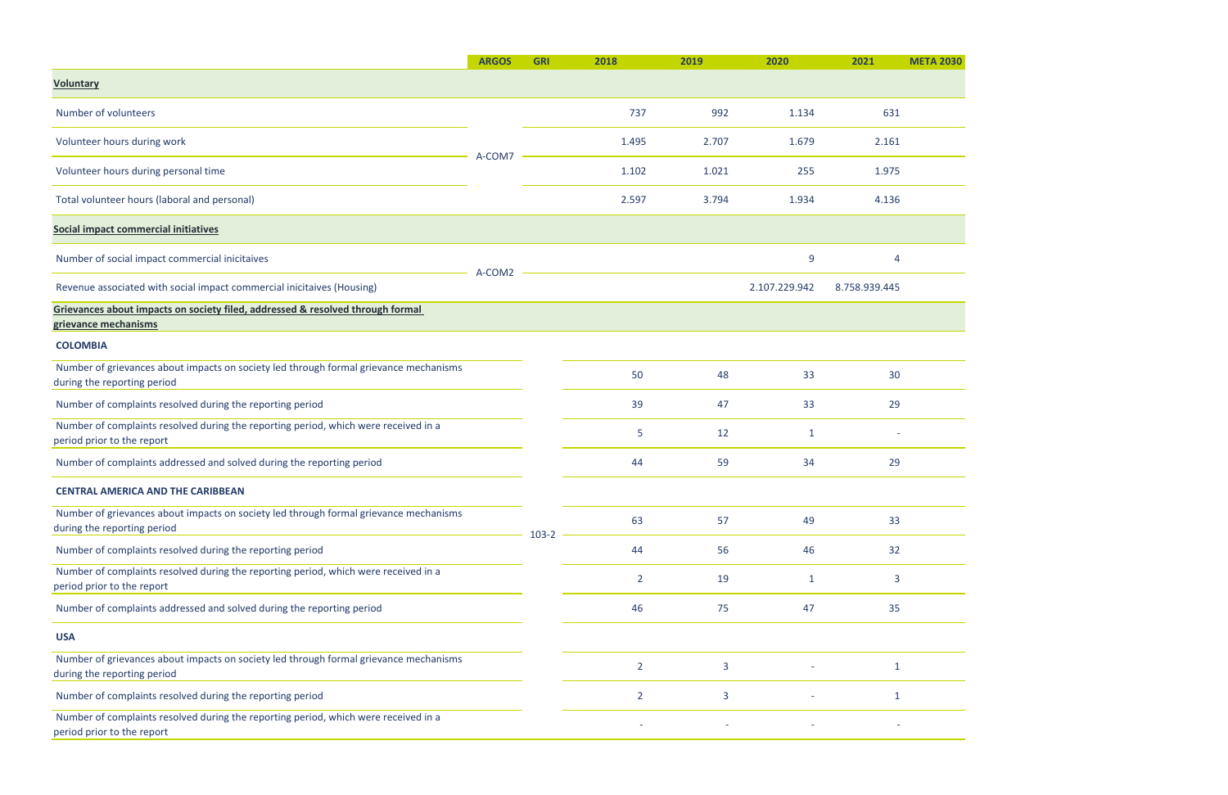|                                                                                                                      | <b>ARGOS</b> | <b>GRI</b> | 2018           | 2019  | 2020          | 2021          |
|----------------------------------------------------------------------------------------------------------------------|--------------|------------|----------------|-------|---------------|---------------|
| <b>Voluntary</b>                                                                                                     |              |            |                |       |               |               |
| Number of volunteers                                                                                                 |              |            | 737            | 992   | 1.134         | 631           |
| Volunteer hours during work                                                                                          |              |            | 1.495          | 2.707 | 1.679         | 2.161         |
| Volunteer hours during personal time                                                                                 | A-COM7       |            | 1.102          | 1.021 | 255           | 1.975         |
| Total volunteer hours (laboral and personal)                                                                         |              |            | 2.597          | 3.794 | 1.934         | 4.136         |
| Social impact commercial initiatives                                                                                 |              |            |                |       |               |               |
| Number of social impact commercial inicitaives                                                                       |              |            |                |       | 9             |               |
| Revenue associated with social impact commercial inicitaives (Housing)                                               | A-COM2       |            |                |       | 2.107.229.942 | 8.758.939.445 |
| Grievances about impacts on society filed, addressed & resolved through formal<br>grievance mechanisms               |              |            |                |       |               |               |
| <b>COLOMBIA</b>                                                                                                      |              |            |                |       |               |               |
| Number of grievances about impacts on society led through formal grievance mechanisms<br>during the reporting period |              |            | 50             | 48    | 33            | 30            |
| Number of complaints resolved during the reporting period                                                            |              |            | 39             | 47    | 33            | 29            |
| Number of complaints resolved during the reporting period, which were received in a<br>period prior to the report    |              |            | 5              | 12    | 1             |               |
| Number of complaints addressed and solved during the reporting period                                                |              |            | 44             | 59    | 34            | 29            |
| <b>CENTRAL AMERICA AND THE CARIBBEAN</b>                                                                             |              |            |                |       |               |               |
| Number of grievances about impacts on society led through formal grievance mechanisms<br>during the reporting period |              | $103-2$    | 63             | 57    | 49            | 33            |
| Number of complaints resolved during the reporting period                                                            |              |            | 44             | 56    | 46            | 32            |
| Number of complaints resolved during the reporting period, which were received in a<br>period prior to the report    |              |            | $\overline{2}$ | 19    | $\mathbf{1}$  | 3             |
| Number of complaints addressed and solved during the reporting period                                                |              |            | 46             | 75    | 47            | 35            |
| <b>USA</b>                                                                                                           |              |            |                |       |               |               |
| Number of grievances about impacts on society led through formal grievance mechanisms<br>during the reporting period |              |            | $\overline{2}$ | 3     |               |               |
| Number of complaints resolved during the reporting period                                                            |              |            | $\overline{2}$ | 3     |               |               |
| Number of complaints resolved during the reporting period, which were received in a<br>period prior to the report    |              |            |                |       |               |               |

**META 2030**  $\overline{\phantom{a}}$ <u> The Community of the Community of the Community of the Community of the Community of the Community of the Community of the Community of the Community of the Community of the Community of the Community of the Community of</u>

 $\overline{\phantom{a}}$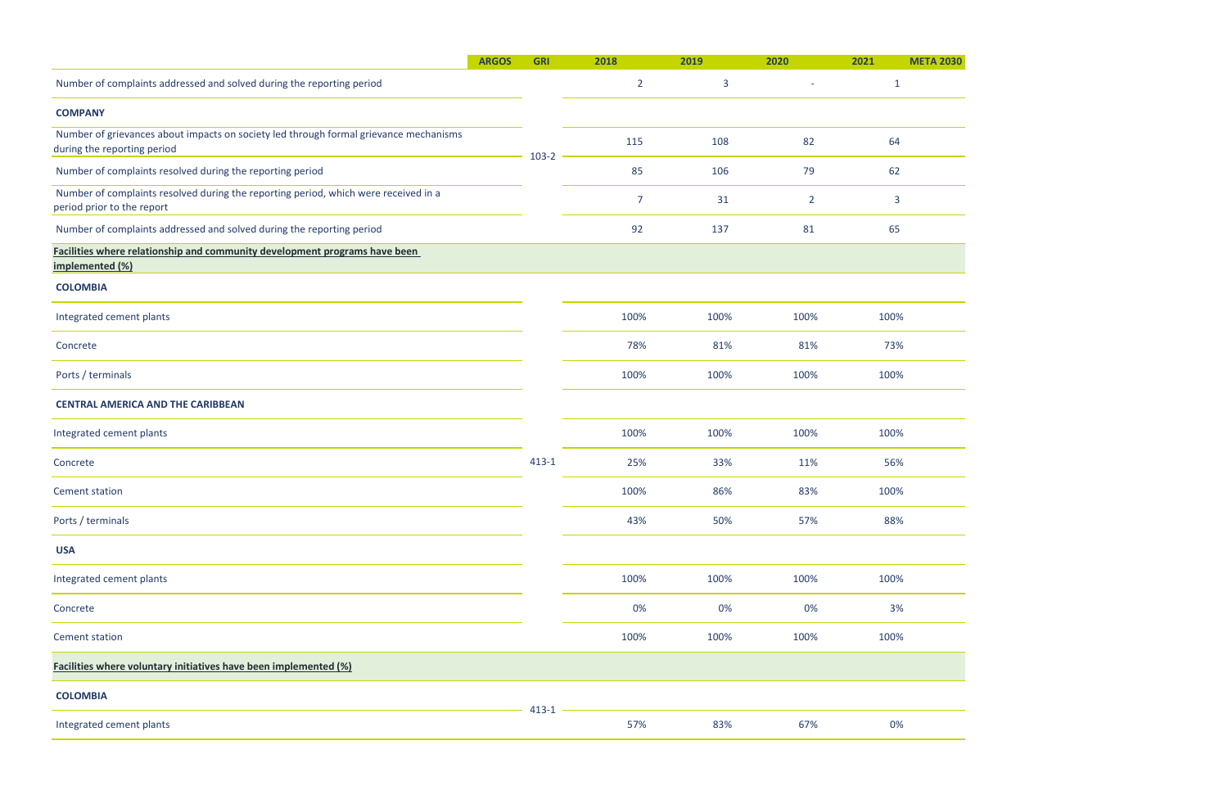|                                                                                                                      | <b>ARGOS</b> | <b>GRI</b> | 2018           | 2019 | 2020                     | 2021         |
|----------------------------------------------------------------------------------------------------------------------|--------------|------------|----------------|------|--------------------------|--------------|
| Number of complaints addressed and solved during the reporting period                                                |              |            | $\overline{2}$ | 3    | $\overline{\phantom{a}}$ | $\mathbf{1}$ |
| <b>COMPANY</b>                                                                                                       |              |            |                |      |                          |              |
| Number of grievances about impacts on society led through formal grievance mechanisms<br>during the reporting period |              | $103-2$    | 115            | 108  | 82                       | 64           |
| Number of complaints resolved during the reporting period                                                            |              |            | 85             | 106  | 79                       | 62           |
| Number of complaints resolved during the reporting period, which were received in a<br>period prior to the report    |              |            | $\overline{7}$ | 31   | $\overline{2}$           | 3            |
| Number of complaints addressed and solved during the reporting period                                                |              |            | 92             | 137  | 81                       | 65           |
| Facilities where relationship and community development programs have been<br>implemented (%)                        |              |            |                |      |                          |              |
| <b>COLOMBIA</b>                                                                                                      |              |            |                |      |                          |              |
| Integrated cement plants                                                                                             |              |            | 100%           | 100% | 100%                     | 100%         |
| Concrete                                                                                                             |              |            | 78%            | 81%  | 81%                      | 73%          |
| Ports / terminals                                                                                                    |              |            | 100%           | 100% | 100%                     | 100%         |
| <b>CENTRAL AMERICA AND THE CARIBBEAN</b>                                                                             |              |            |                |      |                          |              |
| Integrated cement plants                                                                                             |              |            | 100%           | 100% | 100%                     | 100%         |
| Concrete                                                                                                             |              | $413 - 1$  | 25%            | 33%  | 11%                      | 56%          |
| <b>Cement station</b>                                                                                                |              |            | 100%           | 86%  | 83%                      | 100%         |
| Ports / terminals                                                                                                    |              |            | 43%            | 50%  | 57%                      | 88%          |
| <b>USA</b>                                                                                                           |              |            |                |      |                          |              |
| Integrated cement plants                                                                                             |              |            | 100%           | 100% | 100%                     | 100%         |
| Concrete                                                                                                             |              |            | 0%             | 0%   | 0%                       | 3%           |
| <b>Cement station</b>                                                                                                |              |            | 100%           | 100% | 100%                     | 100%         |
| Facilities where voluntary initiatives have been implemented (%)                                                     |              |            |                |      |                          |              |
| <b>COLOMBIA</b>                                                                                                      |              |            |                |      |                          |              |
| Integrated cement plants                                                                                             |              | $413 - 1$  | 57%            | 83%  | 67%                      | 0%           |

**META 2030** 

 $\frac{1}{2}$ 

 $\frac{1}{2}$ 

 $\frac{1}{2}$ 

 $\frac{1}{2}$ 

 $\frac{8}{\sqrt{25}}$ 

 $\frac{1}{\sqrt{2}}$ 

 $\frac{96}{100}$ 

 $\frac{1}{\sqrt{1-\frac{1}{2}}\sqrt{1-\frac{1}{2}}\sqrt{1-\frac{1}{2}}}}$ 

 $\frac{1}{2}$ 

 $\%$ 

 $\frac{1}{2}$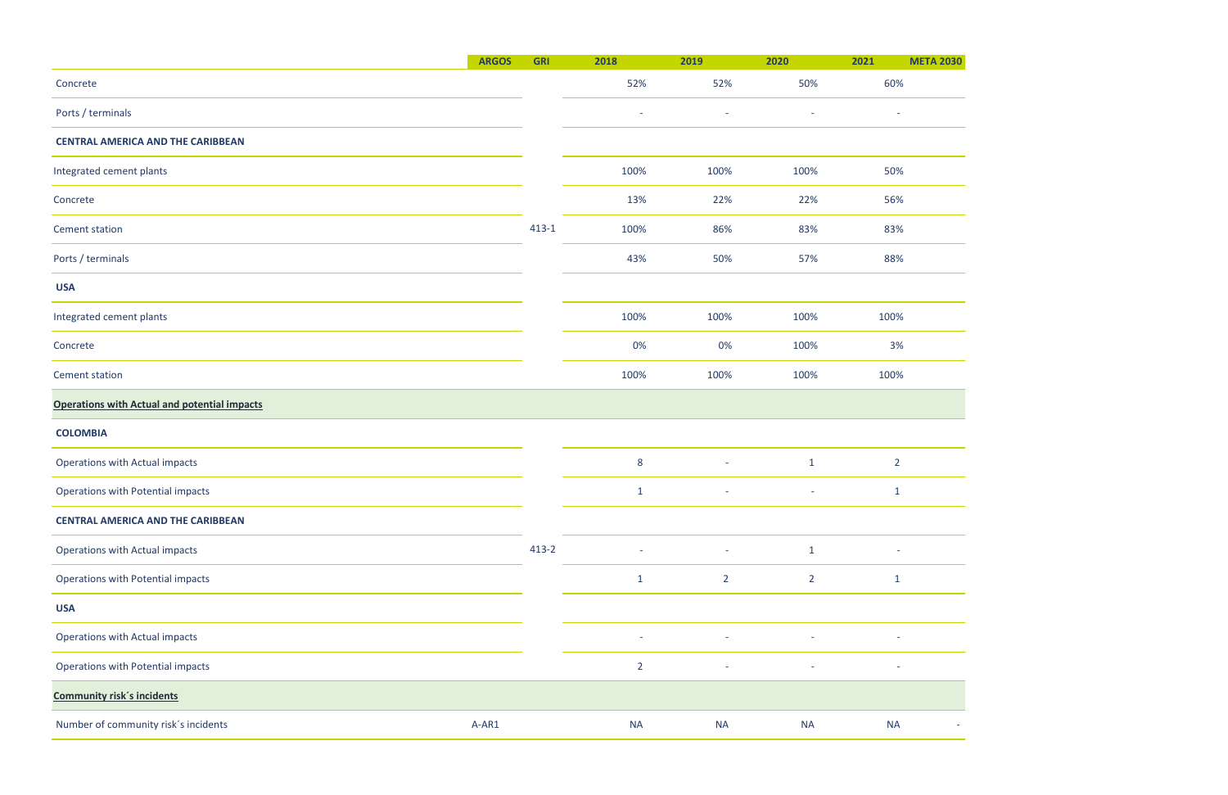## **ARGOS GRI 2018 2019 2020 2021 META 2030**

 $\overline{\phantom{a}}$ 

 $\overline{\phantom{a}}$ 

|                                                     | <b>ARGOS</b> | <b>GRI</b> | 2018                     | 2019                     | 2020                     | 2021                     | <b>META 2030</b> |
|-----------------------------------------------------|--------------|------------|--------------------------|--------------------------|--------------------------|--------------------------|------------------|
| Concrete                                            |              |            | 52%                      | 52%                      | 50%                      | 60%                      |                  |
| Ports / terminals                                   |              |            | $\overline{\phantom{a}}$ | $\overline{\phantom{a}}$ | $\overline{\phantom{a}}$ | $\overline{\phantom{a}}$ |                  |
| <b>CENTRAL AMERICA AND THE CARIBBEAN</b>            |              |            |                          |                          |                          |                          |                  |
| Integrated cement plants                            |              |            | 100%                     | 100%                     | 100%                     | 50%                      |                  |
| Concrete                                            |              |            | 13%                      | 22%                      | 22%                      | 56%                      |                  |
| <b>Cement station</b>                               |              | $413-1$    | 100%                     | 86%                      | 83%                      | 83%                      |                  |
| Ports / terminals                                   |              |            | 43%                      | 50%                      | 57%                      | 88%                      |                  |
| <b>USA</b>                                          |              |            |                          |                          |                          |                          |                  |
| Integrated cement plants                            |              |            | 100%                     | 100%                     | 100%                     | 100%                     |                  |
| Concrete                                            |              |            | 0%                       | 0%                       | 100%                     | 3%                       |                  |
| <b>Cement station</b>                               |              |            | 100%                     | 100%                     | 100%                     | 100%                     |                  |
| <b>Operations with Actual and potential impacts</b> |              |            |                          |                          |                          |                          |                  |
| <b>COLOMBIA</b>                                     |              |            |                          |                          |                          |                          |                  |
| Operations with Actual impacts                      |              |            | $\bf 8$                  | $\overline{\phantom{a}}$ | $\mathbf{1}$             | $\overline{2}$           |                  |
| <b>Operations with Potential impacts</b>            |              |            | $\mathbf{1}$             | ÷                        | $\overline{\phantom{a}}$ | $\mathbf{1}$             |                  |
| <b>CENTRAL AMERICA AND THE CARIBBEAN</b>            |              |            |                          |                          |                          |                          |                  |
| Operations with Actual impacts                      |              | $413-2$    |                          | $\sim$                   | $\mathbf{1}$             |                          |                  |
| <b>Operations with Potential impacts</b>            |              |            | $\mathbf{1}$             | $\overline{2}$           | $\overline{2}$           | $\mathbf{1}$             |                  |
| <b>USA</b>                                          |              |            |                          |                          |                          |                          |                  |
| Operations with Actual impacts                      |              |            | $\sim$                   | $\overline{\phantom{a}}$ | $\overline{\phantom{a}}$ | $\overline{\phantom{a}}$ |                  |
| Operations with Potential impacts                   |              |            | $\overline{2}$           | $\bar{a}$                |                          |                          |                  |
| <b>Community risk's incidents</b>                   |              |            |                          |                          |                          |                          |                  |
| Number of community risk's incidents                | A-AR1        |            | <b>NA</b>                | <b>NA</b>                | <b>NA</b>                | <b>NA</b>                |                  |